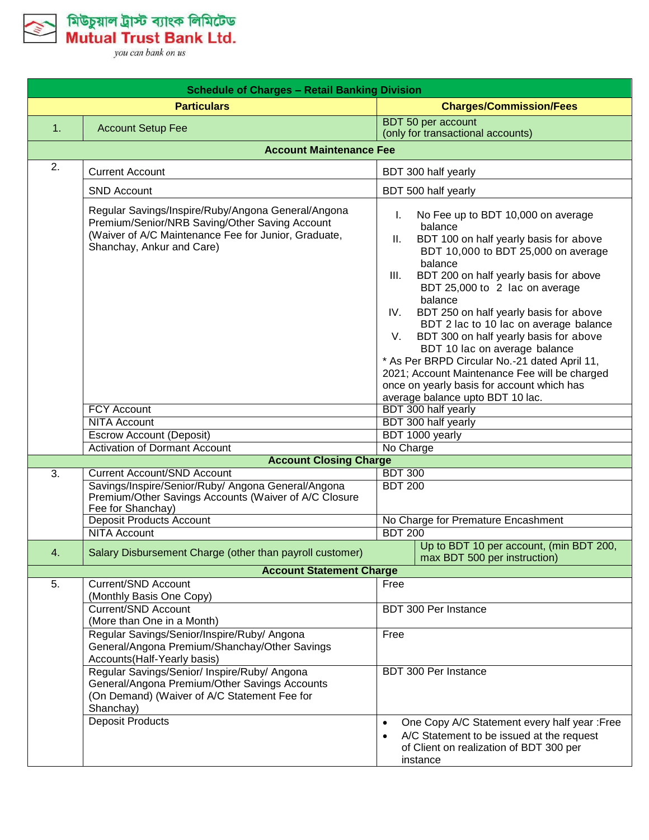

মিউচুয়াল ট্রাস্ট ব্যাংক লিমিটেড<br>Mutual Trust Bank Ltd.

| <b>Schedule of Charges - Retail Banking Division</b> |                                                                                                                                                                                           |                                             |                                                                                                                                                                                                                                                                                                                                                                                                                                                                                                                                                                                     |
|------------------------------------------------------|-------------------------------------------------------------------------------------------------------------------------------------------------------------------------------------------|---------------------------------------------|-------------------------------------------------------------------------------------------------------------------------------------------------------------------------------------------------------------------------------------------------------------------------------------------------------------------------------------------------------------------------------------------------------------------------------------------------------------------------------------------------------------------------------------------------------------------------------------|
|                                                      | <b>Particulars</b>                                                                                                                                                                        |                                             | <b>Charges/Commission/Fees</b>                                                                                                                                                                                                                                                                                                                                                                                                                                                                                                                                                      |
| 1.                                                   | <b>Account Setup Fee</b>                                                                                                                                                                  |                                             | BDT 50 per account<br>(only for transactional accounts)                                                                                                                                                                                                                                                                                                                                                                                                                                                                                                                             |
|                                                      | <b>Account Maintenance Fee</b>                                                                                                                                                            |                                             |                                                                                                                                                                                                                                                                                                                                                                                                                                                                                                                                                                                     |
| 2.                                                   | <b>Current Account</b>                                                                                                                                                                    |                                             | BDT 300 half yearly                                                                                                                                                                                                                                                                                                                                                                                                                                                                                                                                                                 |
|                                                      | <b>SND Account</b>                                                                                                                                                                        |                                             | BDT 500 half yearly                                                                                                                                                                                                                                                                                                                                                                                                                                                                                                                                                                 |
|                                                      | Regular Savings/Inspire/Ruby/Angona General/Angona<br>Premium/Senior/NRB Saving/Other Saving Account<br>(Waiver of A/C Maintenance Fee for Junior, Graduate,<br>Shanchay, Ankur and Care) | L.<br>Ш.<br>III.<br>IV.<br>V.               | No Fee up to BDT 10,000 on average<br>balance<br>BDT 100 on half yearly basis for above<br>BDT 10,000 to BDT 25,000 on average<br>balance<br>BDT 200 on half yearly basis for above<br>BDT 25,000 to 2 lac on average<br>balance<br>BDT 250 on half yearly basis for above<br>BDT 2 lac to 10 lac on average balance<br>BDT 300 on half yearly basis for above<br>BDT 10 lac on average balance<br>* As Per BRPD Circular No.-21 dated April 11,<br>2021; Account Maintenance Fee will be charged<br>once on yearly basis for account which has<br>average balance upto BDT 10 lac. |
|                                                      | <b>FCY Account</b>                                                                                                                                                                        |                                             | BDT 300 half yearly                                                                                                                                                                                                                                                                                                                                                                                                                                                                                                                                                                 |
|                                                      | <b>NITA Account</b>                                                                                                                                                                       |                                             | BDT 300 half yearly                                                                                                                                                                                                                                                                                                                                                                                                                                                                                                                                                                 |
|                                                      | <b>Escrow Account (Deposit)</b>                                                                                                                                                           |                                             | BDT 1000 yearly                                                                                                                                                                                                                                                                                                                                                                                                                                                                                                                                                                     |
|                                                      | <b>Activation of Dormant Account</b>                                                                                                                                                      | No Charge                                   |                                                                                                                                                                                                                                                                                                                                                                                                                                                                                                                                                                                     |
|                                                      | <b>Account Closing Charge</b>                                                                                                                                                             |                                             |                                                                                                                                                                                                                                                                                                                                                                                                                                                                                                                                                                                     |
| 3.                                                   | <b>Current Account/SND Account</b>                                                                                                                                                        | <b>BDT 300</b>                              |                                                                                                                                                                                                                                                                                                                                                                                                                                                                                                                                                                                     |
|                                                      | Savings/Inspire/Senior/Ruby/ Angona General/Angona<br>Premium/Other Savings Accounts (Waiver of A/C Closure<br>Fee for Shanchay)                                                          | <b>BDT 200</b>                              |                                                                                                                                                                                                                                                                                                                                                                                                                                                                                                                                                                                     |
|                                                      | <b>Deposit Products Account</b>                                                                                                                                                           |                                             | No Charge for Premature Encashment                                                                                                                                                                                                                                                                                                                                                                                                                                                                                                                                                  |
|                                                      | <b>NITA Account</b>                                                                                                                                                                       | <b>BDT 200</b>                              |                                                                                                                                                                                                                                                                                                                                                                                                                                                                                                                                                                                     |
| 4.                                                   | Salary Disbursement Charge (other than payroll customer)                                                                                                                                  |                                             | Up to BDT 10 per account, (min BDT 200,<br>max BDT 500 per instruction)                                                                                                                                                                                                                                                                                                                                                                                                                                                                                                             |
|                                                      | <b>Account Statement Charge</b>                                                                                                                                                           |                                             |                                                                                                                                                                                                                                                                                                                                                                                                                                                                                                                                                                                     |
| 5.                                                   | <b>Current/SND Account</b><br>(Monthly Basis One Copy)                                                                                                                                    | Free<br><b>BDT 300 Per Instance</b><br>Free |                                                                                                                                                                                                                                                                                                                                                                                                                                                                                                                                                                                     |
|                                                      | Current/SND Account<br>(More than One in a Month)                                                                                                                                         |                                             |                                                                                                                                                                                                                                                                                                                                                                                                                                                                                                                                                                                     |
|                                                      | Regular Savings/Senior/Inspire/Ruby/ Angona<br>General/Angona Premium/Shanchay/Other Savings<br>Accounts (Half-Yearly basis)                                                              |                                             |                                                                                                                                                                                                                                                                                                                                                                                                                                                                                                                                                                                     |
|                                                      | Regular Savings/Senior/ Inspire/Ruby/ Angona<br>General/Angona Premium/Other Savings Accounts<br>(On Demand) (Waiver of A/C Statement Fee for<br>Shanchay)                                |                                             | BDT 300 Per Instance                                                                                                                                                                                                                                                                                                                                                                                                                                                                                                                                                                |
|                                                      | <b>Deposit Products</b>                                                                                                                                                                   | $\bullet$<br>$\bullet$                      | One Copy A/C Statement every half year :Free<br>A/C Statement to be issued at the request<br>of Client on realization of BDT 300 per<br>instance                                                                                                                                                                                                                                                                                                                                                                                                                                    |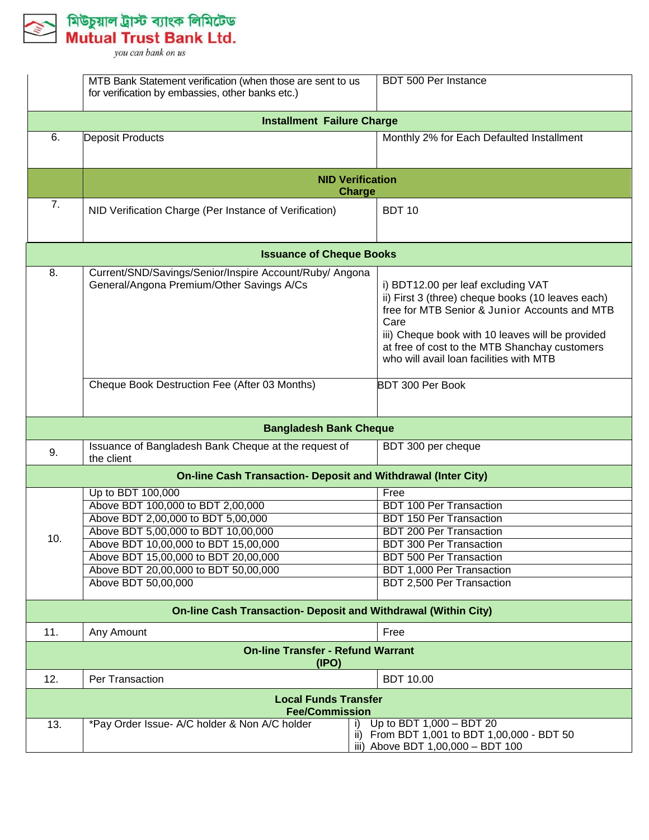মিউচুয়াল ট্রাস্ট ব্যাংক লিমিটেড<br>Mutual Trust Bank Ltd.

|                                   | MTB Bank Statement verification (when those are sent to us<br>for verification by embassies, other banks etc.) | BDT 500 Per Instance                                                                                                                                                                                                                                                                             |  |  |
|-----------------------------------|----------------------------------------------------------------------------------------------------------------|--------------------------------------------------------------------------------------------------------------------------------------------------------------------------------------------------------------------------------------------------------------------------------------------------|--|--|
| <b>Installment Failure Charge</b> |                                                                                                                |                                                                                                                                                                                                                                                                                                  |  |  |
| 6.                                | Deposit Products                                                                                               | Monthly 2% for Each Defaulted Installment                                                                                                                                                                                                                                                        |  |  |
|                                   | <b>NID Verification</b><br><b>Charge</b>                                                                       |                                                                                                                                                                                                                                                                                                  |  |  |
| 7.                                | NID Verification Charge (Per Instance of Verification)                                                         | <b>BDT 10</b>                                                                                                                                                                                                                                                                                    |  |  |
|                                   | <b>Issuance of Cheque Books</b>                                                                                |                                                                                                                                                                                                                                                                                                  |  |  |
| 8.                                | Current/SND/Savings/Senior/Inspire Account/Ruby/ Angona<br>General/Angona Premium/Other Savings A/Cs           | i) BDT12.00 per leaf excluding VAT<br>ii) First 3 (three) cheque books (10 leaves each)<br>free for MTB Senior & Junior Accounts and MTB<br>Care<br>iii) Cheque book with 10 leaves will be provided<br>at free of cost to the MTB Shanchay customers<br>who will avail loan facilities with MTB |  |  |
|                                   | Cheque Book Destruction Fee (After 03 Months)                                                                  | <b>BDT 300 Per Book</b>                                                                                                                                                                                                                                                                          |  |  |
|                                   | <b>Bangladesh Bank Cheque</b>                                                                                  |                                                                                                                                                                                                                                                                                                  |  |  |
| 9.                                | Issuance of Bangladesh Bank Cheque at the request of<br>the client                                             | BDT 300 per cheque                                                                                                                                                                                                                                                                               |  |  |
|                                   | <b>On-line Cash Transaction- Deposit and Withdrawal (Inter City)</b>                                           |                                                                                                                                                                                                                                                                                                  |  |  |
|                                   | Up to BDT 100,000                                                                                              | Free                                                                                                                                                                                                                                                                                             |  |  |
|                                   | Above BDT 100,000 to BDT 2,00,000                                                                              | <b>BDT 100 Per Transaction</b>                                                                                                                                                                                                                                                                   |  |  |
|                                   | Above BDT 2,00,000 to BDT 5,00,000                                                                             | <b>BDT 150 Per Transaction</b>                                                                                                                                                                                                                                                                   |  |  |
| 10.                               | Above BDT 5,00,000 to BDT 10,00,000                                                                            | <b>BDT 200 Per Transaction</b>                                                                                                                                                                                                                                                                   |  |  |
|                                   | Above BDT 10,00,000 to BDT 15,00,000                                                                           | <b>BDT 300 Per Transaction</b>                                                                                                                                                                                                                                                                   |  |  |
|                                   | Above BDT 15,00,000 to BDT 20,00,000                                                                           | <b>BDT 500 Per Transaction</b>                                                                                                                                                                                                                                                                   |  |  |
|                                   | Above BDT 20,00,000 to BDT 50,00,000                                                                           | <b>BDT 1,000 Per Transaction</b>                                                                                                                                                                                                                                                                 |  |  |
|                                   | Above BDT 50,00,000                                                                                            | <b>BDT 2,500 Per Transaction</b>                                                                                                                                                                                                                                                                 |  |  |
|                                   | <b>On-line Cash Transaction- Deposit and Withdrawal (Within City)</b>                                          |                                                                                                                                                                                                                                                                                                  |  |  |
| 11.                               | Any Amount                                                                                                     | Free                                                                                                                                                                                                                                                                                             |  |  |
|                                   | <b>On-line Transfer - Refund Warrant</b><br>(1PO)                                                              |                                                                                                                                                                                                                                                                                                  |  |  |
| 12.                               | Per Transaction                                                                                                | <b>BDT 10.00</b>                                                                                                                                                                                                                                                                                 |  |  |
|                                   | <b>Local Funds Transfer</b><br><b>Fee/Commission</b>                                                           |                                                                                                                                                                                                                                                                                                  |  |  |
| 13.                               | *Pay Order Issue- A/C holder & Non A/C holder                                                                  | Up to BDT 1,000 - BDT 20<br>ii) From BDT 1,001 to BDT 1,00,000 - BDT 50<br>iii) Above BDT 1,00,000 - BDT 100                                                                                                                                                                                     |  |  |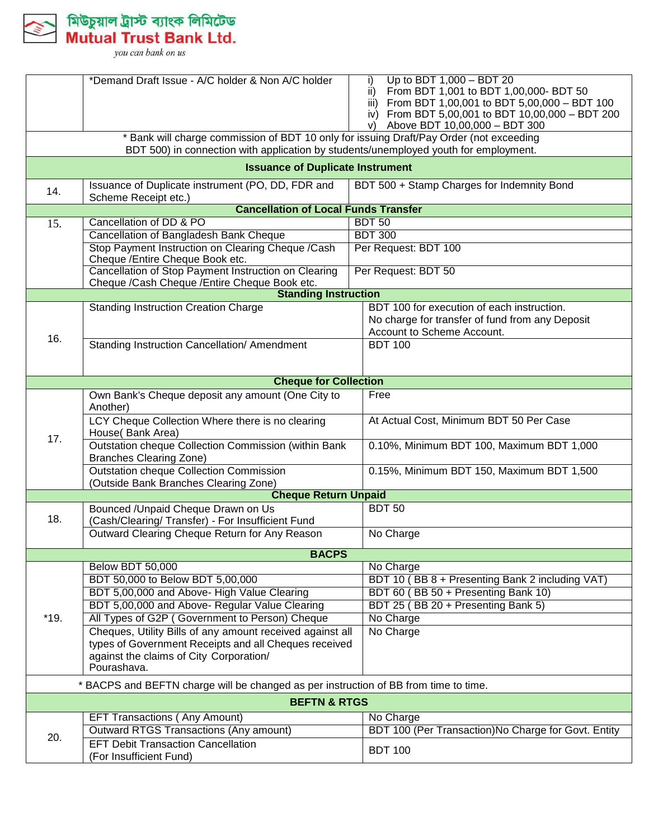

|                                       | *Demand Draft Issue - A/C holder & Non A/C holder                                                    | Up to BDT 1,000 - BDT 20<br>i)                       |
|---------------------------------------|------------------------------------------------------------------------------------------------------|------------------------------------------------------|
|                                       |                                                                                                      | ii) From BDT 1,001 to BDT 1,00,000- BDT 50           |
|                                       |                                                                                                      | iii) From BDT 1,00,001 to BDT 5,00,000 - BDT 100     |
|                                       |                                                                                                      | iv) From BDT 5,00,001 to BDT 10,00,000 - BDT 200     |
|                                       |                                                                                                      | Above BDT 10,00,000 - BDT 300<br>V)                  |
|                                       | * Bank will charge commission of BDT 10 only for issuing Draft/Pay Order (not exceeding              |                                                      |
|                                       | BDT 500) in connection with application by students/unemployed youth for employment.                 |                                                      |
|                                       | <b>Issuance of Duplicate Instrument</b>                                                              |                                                      |
| 14.                                   | Issuance of Duplicate instrument (PO, DD, FDR and<br>Scheme Receipt etc.)                            | BDT 500 + Stamp Charges for Indemnity Bond           |
|                                       | <b>Cancellation of Local Funds Transfer</b>                                                          |                                                      |
| 15.                                   | Cancellation of DD & PO                                                                              | <b>BDT 50</b>                                        |
|                                       | Cancellation of Bangladesh Bank Cheque                                                               | <b>BDT 300</b>                                       |
|                                       | Stop Payment Instruction on Clearing Cheque /Cash                                                    | Per Request: BDT 100                                 |
|                                       | Cheque /Entire Cheque Book etc.                                                                      |                                                      |
|                                       | Cancellation of Stop Payment Instruction on Clearing<br>Cheque /Cash Cheque /Entire Cheque Book etc. | Per Request: BDT 50                                  |
|                                       | <b>Standing Instruction</b>                                                                          |                                                      |
|                                       | <b>Standing Instruction Creation Charge</b>                                                          | BDT 100 for execution of each instruction.           |
|                                       |                                                                                                      | No charge for transfer of fund from any Deposit      |
|                                       |                                                                                                      | Account to Scheme Account.                           |
| 16.                                   | Standing Instruction Cancellation/ Amendment                                                         | <b>BDT 100</b>                                       |
|                                       |                                                                                                      |                                                      |
|                                       |                                                                                                      |                                                      |
|                                       | <b>Cheque for Collection</b>                                                                         |                                                      |
|                                       | Own Bank's Cheque deposit any amount (One City to                                                    | Free                                                 |
|                                       | Another)                                                                                             |                                                      |
|                                       | LCY Cheque Collection Where there is no clearing                                                     | At Actual Cost, Minimum BDT 50 Per Case              |
| 17.                                   | House(Bank Area)                                                                                     |                                                      |
|                                       | Outstation cheque Collection Commission (within Bank                                                 | 0.10%, Minimum BDT 100, Maximum BDT 1,000            |
|                                       | <b>Branches Clearing Zone)</b>                                                                       |                                                      |
|                                       | <b>Outstation cheque Collection Commission</b>                                                       | 0.15%, Minimum BDT 150, Maximum BDT 1,500            |
| (Outside Bank Branches Clearing Zone) |                                                                                                      |                                                      |
| <b>Cheque Return Unpaid</b>           |                                                                                                      |                                                      |
|                                       | Bounced / Unpaid Cheque Drawn on Us                                                                  | <b>BDT 50</b>                                        |
| 18.                                   | (Cash/Clearing/ Transfer) - For Insufficient Fund                                                    |                                                      |
|                                       | Outward Clearing Cheque Return for Any Reason                                                        | No Charge                                            |
|                                       | <b>BACPS</b>                                                                                         |                                                      |
|                                       | <b>Below BDT 50,000</b>                                                                              | No Charge                                            |
|                                       | BDT 50,000 to Below BDT 5,00,000                                                                     | BDT 10 (BB 8 + Presenting Bank 2 including VAT)      |
|                                       | BDT 5,00,000 and Above- High Value Clearing                                                          | BDT 60 (BB 50 + Presenting Bank 10)                  |
|                                       | BDT 5,00,000 and Above- Regular Value Clearing                                                       | BDT 25 (BB 20 + Presenting Bank 5)                   |
| $*19.$                                | All Types of G2P (Government to Person) Cheque                                                       | No Charge                                            |
|                                       | Cheques, Utility Bills of any amount received against all                                            | No Charge                                            |
|                                       | types of Government Receipts and all Cheques received                                                |                                                      |
|                                       | against the claims of City Corporation/                                                              |                                                      |
|                                       | Pourashava.                                                                                          |                                                      |
|                                       | * BACPS and BEFTN charge will be changed as per instruction of BB from time to time.                 |                                                      |
|                                       | <b>BEFTN &amp; RTGS</b>                                                                              |                                                      |
|                                       | <b>EFT Transactions (Any Amount)</b>                                                                 | No Charge                                            |
|                                       | <b>Outward RTGS Transactions (Any amount)</b>                                                        | BDT 100 (Per Transaction) No Charge for Govt. Entity |
| 20.                                   | <b>EFT Debit Transaction Cancellation</b>                                                            |                                                      |
|                                       | (For Insufficient Fund)                                                                              | <b>BDT 100</b>                                       |
|                                       |                                                                                                      |                                                      |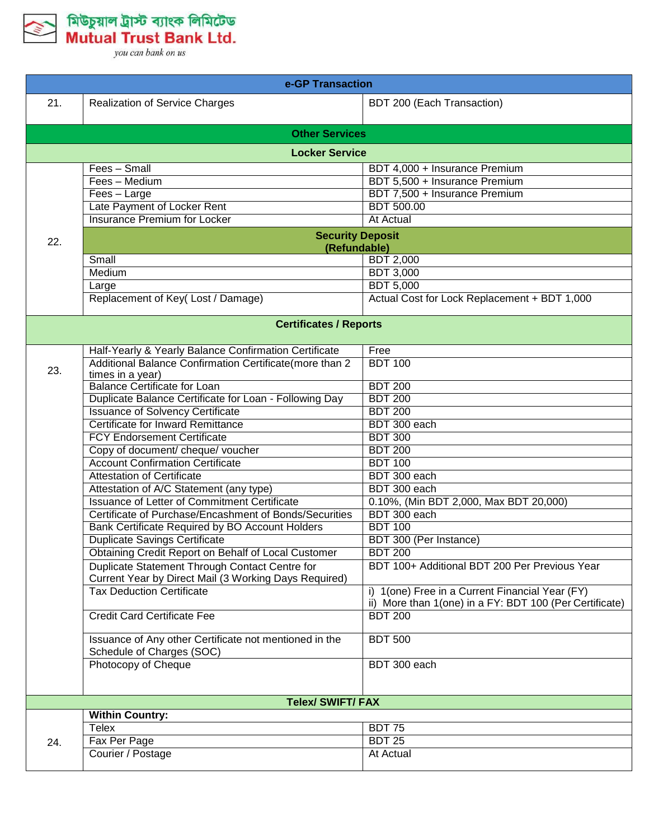

| e-GP Transaction |                                                                                                         |                                                         |  |
|------------------|---------------------------------------------------------------------------------------------------------|---------------------------------------------------------|--|
| 21.              | <b>Realization of Service Charges</b>                                                                   | BDT 200 (Each Transaction)                              |  |
|                  | <b>Other Services</b>                                                                                   |                                                         |  |
|                  | <b>Locker Service</b>                                                                                   |                                                         |  |
|                  | Fees - Small                                                                                            | BDT 4,000 + Insurance Premium                           |  |
|                  | Fees - Medium                                                                                           | BDT 5,500 + Insurance Premium                           |  |
|                  | Fees - Large                                                                                            | BDT 7,500 + Insurance Premium                           |  |
|                  | Late Payment of Locker Rent                                                                             | <b>BDT 500.00</b>                                       |  |
|                  | <b>Insurance Premium for Locker</b>                                                                     | <b>At Actual</b>                                        |  |
| 22.              | <b>Security Deposit</b>                                                                                 |                                                         |  |
|                  | (Refundable)<br>Small                                                                                   |                                                         |  |
|                  |                                                                                                         | <b>BDT 2,000</b>                                        |  |
|                  | Medium                                                                                                  | <b>BDT 3,000</b>                                        |  |
|                  | Large                                                                                                   | <b>BDT 5,000</b>                                        |  |
|                  | Replacement of Key(Lost / Damage)                                                                       | Actual Cost for Lock Replacement + BDT 1,000            |  |
|                  | <b>Certificates / Reports</b>                                                                           |                                                         |  |
|                  | Half-Yearly & Yearly Balance Confirmation Certificate                                                   | Free                                                    |  |
| 23.              | Additional Balance Confirmation Certificate(more than 2                                                 | <b>BDT 100</b>                                          |  |
|                  | times in a year)                                                                                        |                                                         |  |
|                  | <b>Balance Certificate for Loan</b>                                                                     | <b>BDT 200</b>                                          |  |
|                  | Duplicate Balance Certificate for Loan - Following Day                                                  | <b>BDT 200</b>                                          |  |
|                  | <b>Issuance of Solvency Certificate</b>                                                                 | <b>BDT 200</b>                                          |  |
|                  | Certificate for Inward Remittance                                                                       | BDT 300 each                                            |  |
|                  | <b>FCY Endorsement Certificate</b>                                                                      | <b>BDT 300</b>                                          |  |
|                  | Copy of document/ cheque/ voucher                                                                       | <b>BDT 200</b>                                          |  |
|                  | <b>Account Confirmation Certificate</b>                                                                 | <b>BDT 100</b>                                          |  |
|                  | <b>Attestation of Certificate</b>                                                                       | BDT 300 each                                            |  |
|                  | Attestation of A/C Statement (any type)                                                                 | BDT 300 each                                            |  |
|                  | <b>Issuance of Letter of Commitment Certificate</b>                                                     | 0.10%, (Min BDT 2,000, Max BDT 20,000)                  |  |
|                  | Certificate of Purchase/Encashment of Bonds/Securities                                                  | BDT 300 each                                            |  |
|                  | Bank Certificate Required by BO Account Holders                                                         | <b>BDT 100</b>                                          |  |
|                  | <b>Duplicate Savings Certificate</b>                                                                    | BDT 300 (Per Instance)                                  |  |
|                  | <b>Obtaining Credit Report on Behalf of Local Customer</b>                                              | <b>BDT 200</b>                                          |  |
|                  | Duplicate Statement Through Contact Centre for<br>Current Year by Direct Mail (3 Working Days Required) | BDT 100+ Additional BDT 200 Per Previous Year           |  |
|                  | <b>Tax Deduction Certificate</b>                                                                        | i) 1(one) Free in a Current Financial Year (FY)         |  |
|                  |                                                                                                         | ii) More than 1(one) in a FY: BDT 100 (Per Certificate) |  |
|                  | <b>Credit Card Certificate Fee</b>                                                                      | <b>BDT 200</b>                                          |  |
|                  | Issuance of Any other Certificate not mentioned in the<br>Schedule of Charges (SOC)                     | <b>BDT 500</b>                                          |  |
|                  | Photocopy of Cheque                                                                                     | BDT 300 each                                            |  |
|                  | <b>Telex/ SWIFT/ FAX</b>                                                                                |                                                         |  |
|                  | <b>Within Country:</b>                                                                                  |                                                         |  |
|                  | Telex                                                                                                   | <b>BDT 75</b>                                           |  |
| 24.              | Fax Per Page                                                                                            | <b>BDT 25</b>                                           |  |
|                  | Courier / Postage                                                                                       | At Actual                                               |  |
|                  |                                                                                                         |                                                         |  |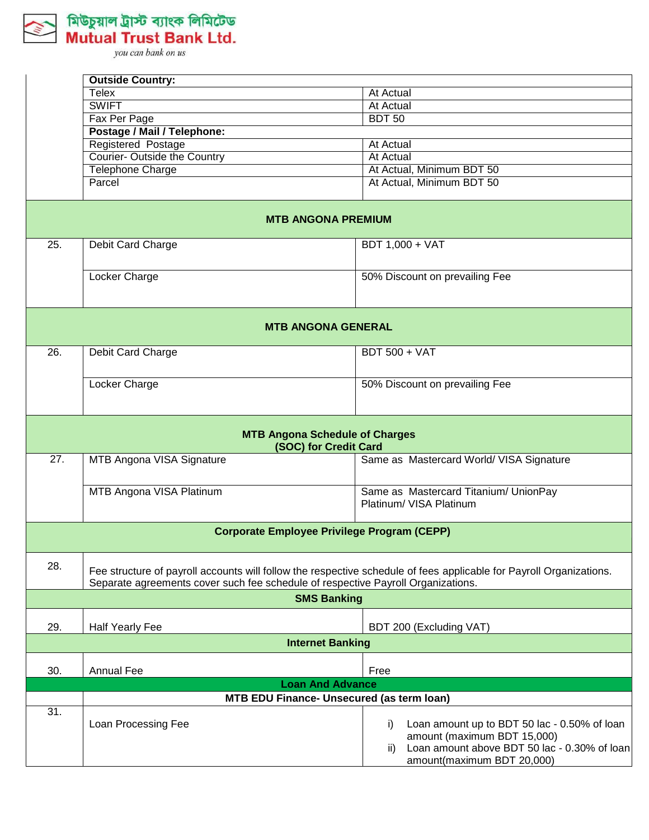

|     | <b>Outside Country:</b>                                                                                                                                                                                 |                                                                                                                                                                        |
|-----|---------------------------------------------------------------------------------------------------------------------------------------------------------------------------------------------------------|------------------------------------------------------------------------------------------------------------------------------------------------------------------------|
|     | Telex                                                                                                                                                                                                   | At Actual                                                                                                                                                              |
|     | <b>SWIFT</b>                                                                                                                                                                                            | <b>At Actual</b>                                                                                                                                                       |
|     | Fax Per Page                                                                                                                                                                                            | <b>BDT 50</b>                                                                                                                                                          |
|     | Postage / Mail / Telephone:                                                                                                                                                                             |                                                                                                                                                                        |
|     | Registered Postage                                                                                                                                                                                      | At Actual                                                                                                                                                              |
|     | Courier- Outside the Country                                                                                                                                                                            | <b>At Actual</b>                                                                                                                                                       |
|     | <b>Telephone Charge</b>                                                                                                                                                                                 | At Actual, Minimum BDT 50                                                                                                                                              |
|     | Parcel                                                                                                                                                                                                  | At Actual, Minimum BDT 50                                                                                                                                              |
|     | <b>MTB ANGONA PREMIUM</b>                                                                                                                                                                               |                                                                                                                                                                        |
| 25. | Debit Card Charge                                                                                                                                                                                       | BDT 1,000 + VAT                                                                                                                                                        |
|     | Locker Charge                                                                                                                                                                                           | 50% Discount on prevailing Fee                                                                                                                                         |
|     | <b>MTB ANGONA GENERAL</b>                                                                                                                                                                               |                                                                                                                                                                        |
| 26. | Debit Card Charge                                                                                                                                                                                       | <b>BDT 500 + VAT</b>                                                                                                                                                   |
|     | Locker Charge                                                                                                                                                                                           | 50% Discount on prevailing Fee                                                                                                                                         |
|     | <b>MTB Angona Schedule of Charges</b><br>(SOC) for Credit Card                                                                                                                                          |                                                                                                                                                                        |
| 27. | MTB Angona VISA Signature                                                                                                                                                                               | Same as Mastercard World/ VISA Signature                                                                                                                               |
|     | MTB Angona VISA Platinum                                                                                                                                                                                | Same as Mastercard Titanium/ UnionPay<br>Platinum/ VISA Platinum                                                                                                       |
|     | <b>Corporate Employee Privilege Program (CEPP)</b>                                                                                                                                                      |                                                                                                                                                                        |
| 28. | Fee structure of payroll accounts will follow the respective schedule of fees applicable for Payroll Organizations.<br>Separate agreements cover such fee schedule of respective Payroll Organizations. |                                                                                                                                                                        |
|     | <b>SMS Banking</b>                                                                                                                                                                                      |                                                                                                                                                                        |
| 29. | <b>Half Yearly Fee</b>                                                                                                                                                                                  | BDT 200 (Excluding VAT)                                                                                                                                                |
|     | <b>Internet Banking</b>                                                                                                                                                                                 |                                                                                                                                                                        |
| 30. | <b>Annual Fee</b>                                                                                                                                                                                       | Free                                                                                                                                                                   |
|     | <b>Loan And Advance</b>                                                                                                                                                                                 |                                                                                                                                                                        |
|     | <b>MTB EDU Finance- Unsecured (as term loan)</b>                                                                                                                                                        |                                                                                                                                                                        |
| 31. | Loan Processing Fee                                                                                                                                                                                     | i)<br>Loan amount up to BDT 50 lac - 0.50% of loan<br>amount (maximum BDT 15,000)<br>Loan amount above BDT 50 lac - 0.30% of loan<br>ii)<br>amount(maximum BDT 20,000) |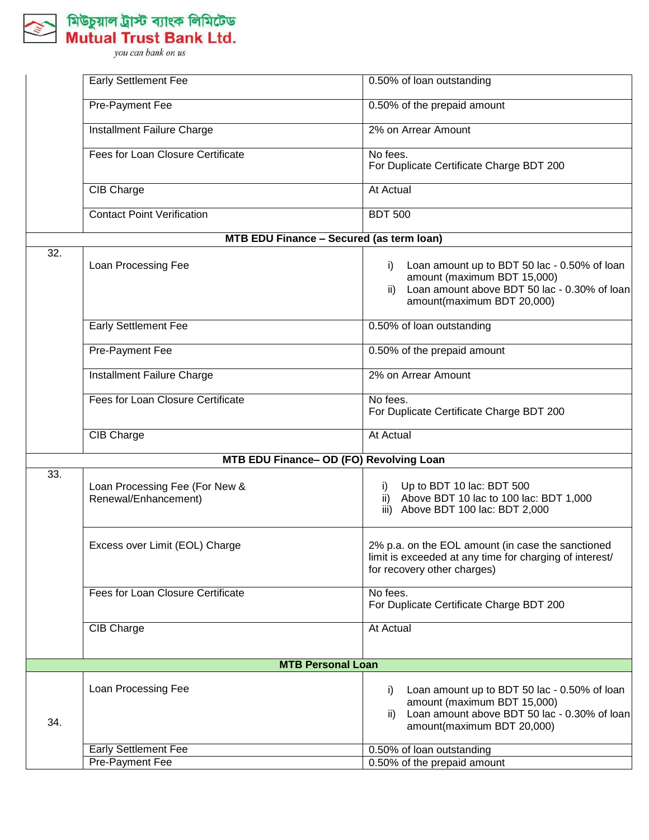

|                   | <b>Early Settlement Fee</b>                            | 0.50% of loan outstanding                                                                                                                                              |
|-------------------|--------------------------------------------------------|------------------------------------------------------------------------------------------------------------------------------------------------------------------------|
|                   | Pre-Payment Fee                                        | 0.50% of the prepaid amount                                                                                                                                            |
|                   | Installment Failure Charge                             | 2% on Arrear Amount                                                                                                                                                    |
|                   | Fees for Loan Closure Certificate                      | No fees.<br>For Duplicate Certificate Charge BDT 200                                                                                                                   |
|                   | CIB Charge                                             | At Actual                                                                                                                                                              |
|                   | <b>Contact Point Verification</b>                      | <b>BDT 500</b>                                                                                                                                                         |
|                   | MTB EDU Finance - Secured (as term loan)               |                                                                                                                                                                        |
| $\overline{32}$ . | Loan Processing Fee                                    | Loan amount up to BDT 50 lac - 0.50% of loan<br>i)<br>amount (maximum BDT 15,000)<br>Loan amount above BDT 50 lac - 0.30% of loan<br>ii)<br>amount(maximum BDT 20,000) |
|                   | Early Settlement Fee                                   | 0.50% of loan outstanding                                                                                                                                              |
|                   | <b>Pre-Payment Fee</b>                                 | 0.50% of the prepaid amount                                                                                                                                            |
|                   | Installment Failure Charge                             | 2% on Arrear Amount                                                                                                                                                    |
|                   | Fees for Loan Closure Certificate                      | No fees.<br>For Duplicate Certificate Charge BDT 200                                                                                                                   |
|                   | <b>CIB Charge</b>                                      | <b>At Actual</b>                                                                                                                                                       |
|                   | MTB EDU Finance- OD (FO) Revolving Loan                |                                                                                                                                                                        |
| 33.               | Loan Processing Fee (For New &<br>Renewal/Enhancement) | Up to BDT 10 lac: BDT 500<br>i)<br>ii) Above BDT 10 lac to 100 lac: BDT 1,000<br>iii) Above BDT 100 lac: BDT 2,000                                                     |
|                   | Excess over Limit (EOL) Charge                         | 2% p.a. on the EOL amount (in case the sanctioned<br>limit is exceeded at any time for charging of interest/<br>for recovery other charges)                            |
|                   | Fees for Loan Closure Certificate                      | No fees.<br>For Duplicate Certificate Charge BDT 200                                                                                                                   |
|                   | CIB Charge                                             | At Actual                                                                                                                                                              |
|                   | <b>MTB Personal Loan</b>                               |                                                                                                                                                                        |
| 34.               | Loan Processing Fee                                    | Loan amount up to BDT 50 lac - 0.50% of loan<br>I)<br>amount (maximum BDT 15,000)<br>Loan amount above BDT 50 lac - 0.30% of loan<br>ii)<br>amount(maximum BDT 20,000) |
|                   | <b>Early Settlement Fee</b>                            | 0.50% of loan outstanding                                                                                                                                              |
|                   | <b>Pre-Payment Fee</b>                                 | 0.50% of the prepaid amount                                                                                                                                            |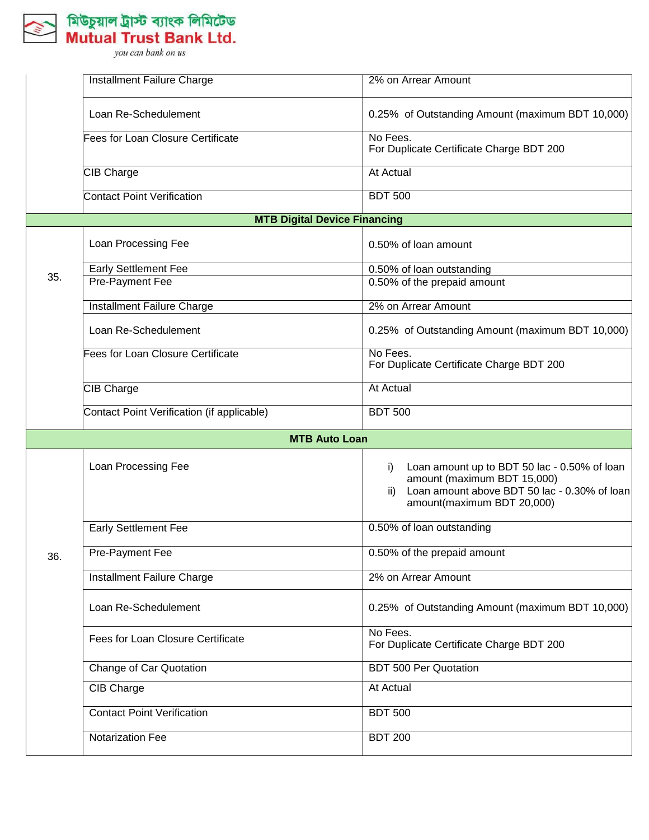

|     | Installment Failure Charge                 | 2% on Arrear Amount                                                                                                                                                    |
|-----|--------------------------------------------|------------------------------------------------------------------------------------------------------------------------------------------------------------------------|
|     | Loan Re-Schedulement                       | 0.25% of Outstanding Amount (maximum BDT 10,000)                                                                                                                       |
|     | <b>Fees for Loan Closure Certificate</b>   | No Fees.<br>For Duplicate Certificate Charge BDT 200                                                                                                                   |
|     | CIB Charge                                 | At Actual                                                                                                                                                              |
|     | <b>Contact Point Verification</b>          | <b>BDT 500</b>                                                                                                                                                         |
|     | <b>MTB Digital Device Financing</b>        |                                                                                                                                                                        |
|     | Loan Processing Fee                        | 0.50% of loan amount                                                                                                                                                   |
| 35. | <b>Early Settlement Fee</b>                | 0.50% of loan outstanding                                                                                                                                              |
|     | <b>Pre-Payment Fee</b>                     | 0.50% of the prepaid amount                                                                                                                                            |
|     | <b>Installment Failure Charge</b>          | 2% on Arrear Amount                                                                                                                                                    |
|     | Loan Re-Schedulement                       | 0.25% of Outstanding Amount (maximum BDT 10,000)                                                                                                                       |
|     | <b>Fees for Loan Closure Certificate</b>   | No Fees.<br>For Duplicate Certificate Charge BDT 200                                                                                                                   |
|     | CIB Charge                                 | At Actual                                                                                                                                                              |
|     | Contact Point Verification (if applicable) | <b>BDT 500</b>                                                                                                                                                         |
|     | <b>MTB Auto Loan</b>                       |                                                                                                                                                                        |
|     | Loan Processing Fee                        | Loan amount up to BDT 50 lac - 0.50% of loan<br>i)<br>amount (maximum BDT 15,000)<br>Loan amount above BDT 50 lac - 0.30% of loan<br>ii)<br>amount(maximum BDT 20,000) |
|     | <b>Early Settlement Fee</b>                | 0.50% of loan outstanding                                                                                                                                              |
| 36. | Pre-Payment Fee                            | 0.50% of the prepaid amount                                                                                                                                            |
|     | <b>Installment Failure Charge</b>          | 2% on Arrear Amount                                                                                                                                                    |
|     | Loan Re-Schedulement                       | 0.25% of Outstanding Amount (maximum BDT 10,000)                                                                                                                       |
|     | Fees for Loan Closure Certificate          | No Fees.<br>For Duplicate Certificate Charge BDT 200                                                                                                                   |
|     | Change of Car Quotation                    | <b>BDT 500 Per Quotation</b>                                                                                                                                           |
|     | CIB Charge                                 | At Actual                                                                                                                                                              |
|     | <b>Contact Point Verification</b>          | <b>BDT 500</b>                                                                                                                                                         |
|     | Notarization Fee                           | <b>BDT 200</b>                                                                                                                                                         |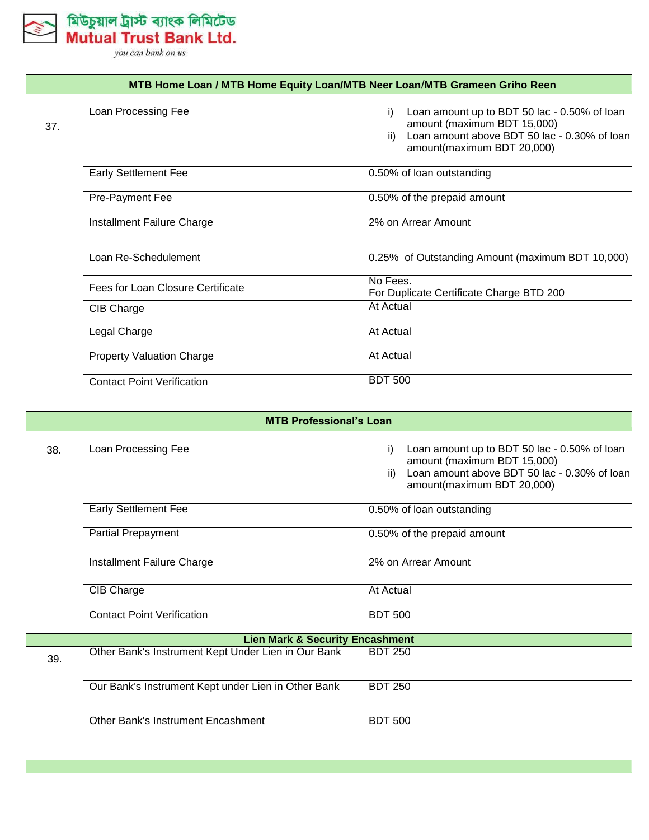

|     | MTB Home Loan / MTB Home Equity Loan/MTB Neer Loan/MTB Grameen Griho Reen |                                                                                                                                                                        |  |  |
|-----|---------------------------------------------------------------------------|------------------------------------------------------------------------------------------------------------------------------------------------------------------------|--|--|
| 37. | Loan Processing Fee                                                       | Loan amount up to BDT 50 lac - 0.50% of loan<br>i)<br>amount (maximum BDT 15,000)<br>ii) Loan amount above BDT 50 lac - 0.30% of loan<br>amount(maximum BDT 20,000)    |  |  |
|     | <b>Early Settlement Fee</b>                                               | 0.50% of loan outstanding                                                                                                                                              |  |  |
|     | Pre-Payment Fee                                                           | 0.50% of the prepaid amount                                                                                                                                            |  |  |
|     | Installment Failure Charge                                                | 2% on Arrear Amount                                                                                                                                                    |  |  |
|     | Loan Re-Schedulement                                                      | 0.25% of Outstanding Amount (maximum BDT 10,000)                                                                                                                       |  |  |
|     | Fees for Loan Closure Certificate                                         | No Fees.<br>For Duplicate Certificate Charge BTD 200                                                                                                                   |  |  |
|     | CIB Charge                                                                | At Actual                                                                                                                                                              |  |  |
|     | <b>Legal Charge</b>                                                       | <b>At Actual</b>                                                                                                                                                       |  |  |
|     | <b>Property Valuation Charge</b>                                          | At Actual                                                                                                                                                              |  |  |
|     | <b>Contact Point Verification</b>                                         | <b>BDT 500</b>                                                                                                                                                         |  |  |
|     | <b>MTB Professional's Loan</b>                                            |                                                                                                                                                                        |  |  |
| 38. | Loan Processing Fee                                                       | Loan amount up to BDT 50 lac - 0.50% of loan<br>i)<br>amount (maximum BDT 15,000)<br>Loan amount above BDT 50 lac - 0.30% of loan<br>ii)<br>amount(maximum BDT 20,000) |  |  |
|     | <b>Early Settlement Fee</b>                                               | 0.50% of loan outstanding                                                                                                                                              |  |  |
|     | <b>Partial Prepayment</b>                                                 | 0.50% of the prepaid amount                                                                                                                                            |  |  |
|     | Installment Failure Charge                                                | 2% on Arrear Amount                                                                                                                                                    |  |  |
|     | <b>CIB Charge</b>                                                         | At Actual                                                                                                                                                              |  |  |
|     | <b>Contact Point Verification</b>                                         | <b>BDT 500</b>                                                                                                                                                         |  |  |
|     | <b>Lien Mark &amp; Security Encashment</b>                                |                                                                                                                                                                        |  |  |
| 39. | Other Bank's Instrument Kept Under Lien in Our Bank                       | <b>BDT 250</b>                                                                                                                                                         |  |  |
|     | Our Bank's Instrument Kept under Lien in Other Bank                       | <b>BDT 250</b>                                                                                                                                                         |  |  |
|     | <b>Other Bank's Instrument Encashment</b>                                 | <b>BDT 500</b>                                                                                                                                                         |  |  |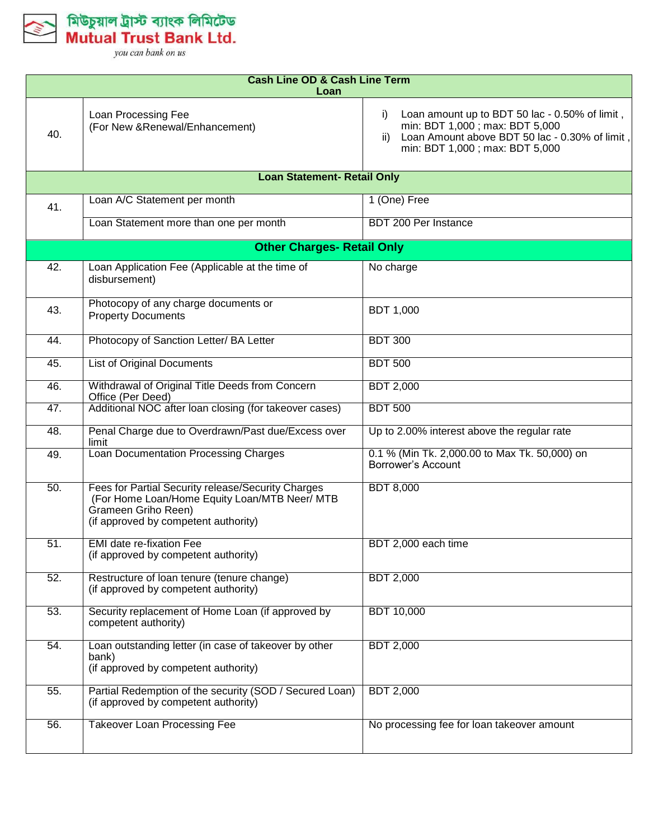

|     | <b>Cash Line OD &amp; Cash Line Term</b><br>Loan                                                                                                                   |                                                                                                                                                                                    |  |  |
|-----|--------------------------------------------------------------------------------------------------------------------------------------------------------------------|------------------------------------------------------------------------------------------------------------------------------------------------------------------------------------|--|--|
| 40. | Loan Processing Fee<br>(For New & Renewal/Enhancement)                                                                                                             | Loan amount up to BDT 50 lac - 0.50% of limit,<br>i)<br>min: BDT 1,000 ; max: BDT 5,000<br>Loan Amount above BDT 50 lac - 0.30% of limit,<br>ii)<br>min: BDT 1,000; max: BDT 5,000 |  |  |
|     | <b>Loan Statement- Retail Only</b>                                                                                                                                 |                                                                                                                                                                                    |  |  |
| 41. | Loan A/C Statement per month                                                                                                                                       | 1 (One) Free                                                                                                                                                                       |  |  |
|     | Loan Statement more than one per month                                                                                                                             | BDT 200 Per Instance                                                                                                                                                               |  |  |
|     | <b>Other Charges- Retail Only</b>                                                                                                                                  |                                                                                                                                                                                    |  |  |
| 42. | Loan Application Fee (Applicable at the time of<br>disbursement)                                                                                                   | No charge                                                                                                                                                                          |  |  |
| 43. | Photocopy of any charge documents or<br><b>Property Documents</b>                                                                                                  | <b>BDT 1,000</b>                                                                                                                                                                   |  |  |
| 44. | Photocopy of Sanction Letter/ BA Letter                                                                                                                            | <b>BDT 300</b>                                                                                                                                                                     |  |  |
| 45. | <b>List of Original Documents</b>                                                                                                                                  | <b>BDT 500</b>                                                                                                                                                                     |  |  |
| 46. | Withdrawal of Original Title Deeds from Concern<br>Office (Per Deed)                                                                                               | <b>BDT 2,000</b>                                                                                                                                                                   |  |  |
| 47. | Additional NOC after loan closing (for takeover cases)                                                                                                             | <b>BDT 500</b>                                                                                                                                                                     |  |  |
| 48. | Penal Charge due to Overdrawn/Past due/Excess over<br>limit                                                                                                        | Up to 2.00% interest above the regular rate                                                                                                                                        |  |  |
| 49. | Loan Documentation Processing Charges                                                                                                                              | 0.1 % (Min Tk. 2,000.00 to Max Tk. 50,000) on<br>Borrower's Account                                                                                                                |  |  |
| 50. | Fees for Partial Security release/Security Charges<br>(For Home Loan/Home Equity Loan/MTB Neer/ MTB<br>Grameen Griho Reen)<br>(if approved by competent authority) | <b>BDT 8,000</b>                                                                                                                                                                   |  |  |
| 51. | <b>EMI</b> date re-fixation Fee<br>(if approved by competent authority)                                                                                            | BDT 2,000 each time                                                                                                                                                                |  |  |
| 52. | Restructure of loan tenure (tenure change)<br>(if approved by competent authority)                                                                                 | <b>BDT 2,000</b>                                                                                                                                                                   |  |  |
| 53. | Security replacement of Home Loan (if approved by<br>competent authority)                                                                                          | <b>BDT 10,000</b>                                                                                                                                                                  |  |  |
| 54. | Loan outstanding letter (in case of takeover by other<br>bank)<br>(if approved by competent authority)                                                             | <b>BDT 2,000</b>                                                                                                                                                                   |  |  |
| 55. | Partial Redemption of the security (SOD / Secured Loan)<br>(if approved by competent authority)                                                                    | <b>BDT 2,000</b>                                                                                                                                                                   |  |  |
| 56. | <b>Takeover Loan Processing Fee</b>                                                                                                                                | No processing fee for loan takeover amount                                                                                                                                         |  |  |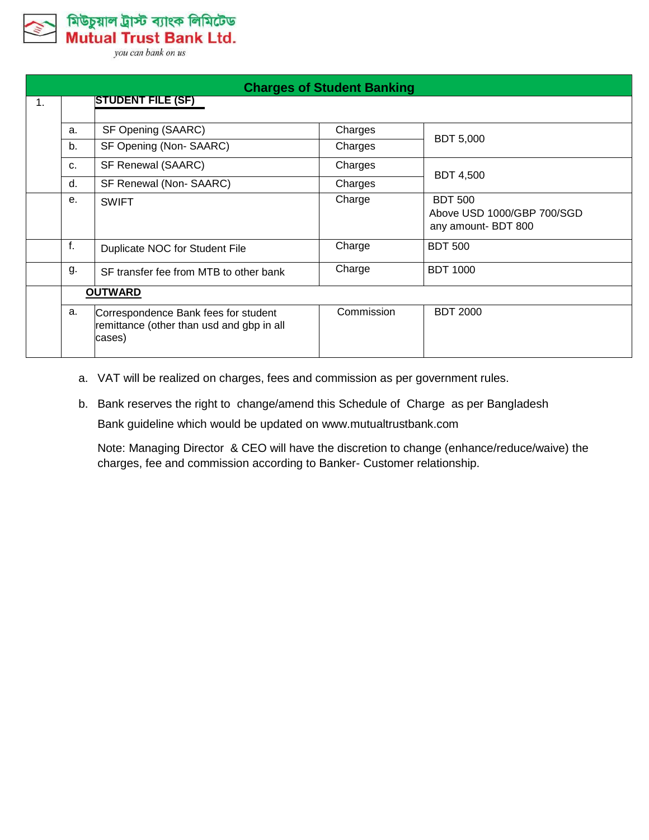মিউচুয়াল ট্রাস্ট ব্যাংক লিমিটেড **Mutual Trust Bank Ltd.** 

you can bank on us

| <b>Charges of Student Banking</b> |             |                                                                                             |            |                                                                     |
|-----------------------------------|-------------|---------------------------------------------------------------------------------------------|------------|---------------------------------------------------------------------|
| $\mathbf{1}$ .                    |             | <b>STUDENT FILE (SF)</b>                                                                    |            |                                                                     |
|                                   | a.          | SF Opening (SAARC)                                                                          | Charges    |                                                                     |
|                                   | b.          | SF Opening (Non-SAARC)                                                                      | Charges    | <b>BDT 5,000</b>                                                    |
|                                   | C.          | SF Renewal (SAARC)                                                                          | Charges    |                                                                     |
|                                   | $d_{\cdot}$ | SF Renewal (Non-SAARC)                                                                      | Charges    | <b>BDT 4,500</b>                                                    |
|                                   | е.          | <b>SWIFT</b>                                                                                | Charge     | <b>BDT 500</b><br>Above USD 1000/GBP 700/SGD<br>any amount- BDT 800 |
|                                   | f.          | Duplicate NOC for Student File                                                              | Charge     | <b>BDT 500</b>                                                      |
|                                   | g.          | SF transfer fee from MTB to other bank                                                      | Charge     | <b>BDT 1000</b>                                                     |
|                                   |             | <b>OUTWARD</b>                                                                              |            |                                                                     |
|                                   | a.          | Correspondence Bank fees for student<br>remittance (other than usd and gbp in all<br>cases) | Commission | <b>BDT 2000</b>                                                     |

- a. VAT will be realized on charges, fees and commission as per government rules.
- b. Bank reserves the right to change/amend this Schedule of Charge as per Bangladesh Bank guideline which would be updated on [www.mutualtrustbank.com](http://www.mutualtrustbank.com/)

Note: Managing Director & CEO will have the discretion to change (enhance/reduce/waive) the charges, fee and commission according to Banker- Customer relationship.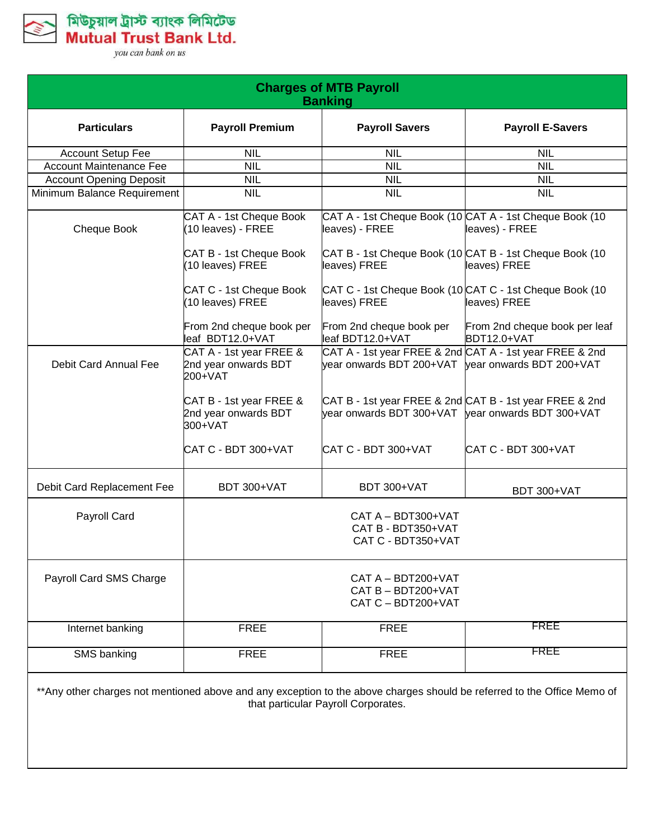

| <b>Charges of MTB Payroll</b><br><b>Banking</b> |                                                            |                                                                                                                |                                                                                                                         |  |
|-------------------------------------------------|------------------------------------------------------------|----------------------------------------------------------------------------------------------------------------|-------------------------------------------------------------------------------------------------------------------------|--|
| <b>Particulars</b>                              | <b>Payroll Premium</b>                                     | <b>Payroll Savers</b>                                                                                          | <b>Payroll E-Savers</b>                                                                                                 |  |
| <b>Account Setup Fee</b>                        | <b>NIL</b>                                                 | <b>NIL</b>                                                                                                     | <b>NIL</b>                                                                                                              |  |
| <b>Account Maintenance Fee</b>                  | <b>NIL</b>                                                 | <b>NIL</b>                                                                                                     | <b>NIL</b>                                                                                                              |  |
| <b>Account Opening Deposit</b>                  | <b>NIL</b>                                                 | <b>NIL</b>                                                                                                     | <b>NIL</b>                                                                                                              |  |
| Minimum Balance Requirement                     | <b>NIL</b>                                                 | <b>NIL</b>                                                                                                     | <b>NIL</b>                                                                                                              |  |
| Cheque Book                                     | CAT A - 1st Cheque Book<br>(10 leaves) - FREE              | CAT A - 1st Cheque Book (10 CAT A - 1st Cheque Book (10<br>leaves) - FREE                                      | leaves) - FREE                                                                                                          |  |
|                                                 | CAT B - 1st Cheque Book<br>(10 leaves) FREE                | CAT B - 1st Cheque Book (10 CAT B - 1st Cheque Book (10<br>leaves) FREE                                        | leaves) FREE                                                                                                            |  |
|                                                 | CAT C - 1st Cheque Book<br>(10 leaves) FREE                | CAT C - 1st Cheque Book (10 CAT C - 1st Cheque Book (10<br>leaves) FREE                                        | leaves) FREE                                                                                                            |  |
|                                                 | From 2nd cheque book per<br>leaf BDT12.0+VAT               | From 2nd cheque book per<br>leaf BDT12.0+VAT                                                                   | From 2nd cheque book per leaf<br>BDT12.0+VAT                                                                            |  |
| Debit Card Annual Fee                           | CAT A - 1st year FREE &<br>2nd year onwards BDT<br>200+VAT | CAT A - 1st year FREE & 2nd CAT A - 1st year FREE & 2nd<br>year onwards BDT 200+VAT   year onwards BDT 200+VAT |                                                                                                                         |  |
|                                                 | CAT B - 1st year FREE &<br>2nd year onwards BDT<br>300+VAT | CAT B - 1st year FREE & 2nd CAT B - 1st year FREE & 2nd<br>year onwards BDT 300+VAT   year onwards BDT 300+VAT |                                                                                                                         |  |
|                                                 | CAT C - BDT 300+VAT                                        | CAT C - BDT 300+VAT                                                                                            | CAT C - BDT 300+VAT                                                                                                     |  |
| Debit Card Replacement Fee                      | BDT 300+VAT                                                | BDT 300+VAT                                                                                                    | BDT 300+VAT                                                                                                             |  |
| Payroll Card                                    |                                                            | CAT A - BDT300+VAT<br>CAT B - BDT350+VAT<br>CAT C - BDT350+VAT                                                 |                                                                                                                         |  |
| Payroll Card SMS Charge                         |                                                            | CAT A - BDT200+VAT<br>CAT B - BDT200+VAT<br>CAT C - BDT200+VAT                                                 |                                                                                                                         |  |
| Internet banking                                | <b>FREE</b>                                                | <b>FREE</b>                                                                                                    | FREE                                                                                                                    |  |
| <b>SMS</b> banking                              | <b>FREE</b>                                                | <b>FREE</b>                                                                                                    | FREE                                                                                                                    |  |
|                                                 |                                                            | that particular Payroll Corporates.                                                                            | **Any other charges not mentioned above and any exception to the above charges should be referred to the Office Memo of |  |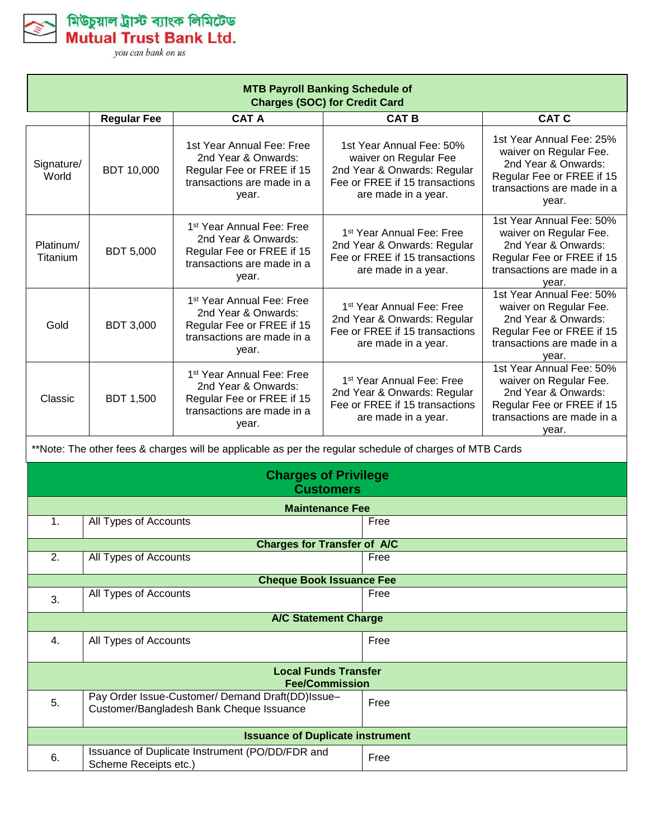

Mutual Trust Bank Ltd. vou can bank on us

মিউচুয়াল ট্ৰাস্ট ব্যাংক লিমিটেড

**MTB Payroll Banking Schedule of Charges (SOC) for Credit Card Regular Fee CAT A CAT B CAT C** Signature/ World BDT 10,000 1st Year Annual Fee: Free 2nd Year & Onwards: Regular Fee or FREE if 15 transactions are made in a year. 1st Year Annual Fee: 50% waiver on Regular Fee 2nd Year & Onwards: Regular Fee or FREE if 15 transactions are made in a year. 1st Year Annual Fee: 25% waiver on Regular Fee. 2nd Year & Onwards: Regular Fee or FREE if 15 transactions are made in a year. Platinum/ Titanium BDT 5,000 1 st Year Annual Fee: Free 2nd Year & Onwards: Regular Fee or FREE if 15 transactions are made in a year. 1 st Year Annual Fee: Free 2nd Year & Onwards: Regular Fee or FREE if 15 transactions are made in a year. 1st Year Annual Fee: 50% waiver on Regular Fee. 2nd Year & Onwards: Regular Fee or FREE if 15 transactions are made in a year. Gold BDT 3,000 1 st Year Annual Fee: Free 2nd Year & Onwards: Regular Fee or FREE if 15 transactions are made in a year. 1 st Year Annual Fee: Free 2nd Year & Onwards: Regular Fee or FREE if 15 transactions are made in a year. 1st Year Annual Fee: 50% waiver on Regular Fee. 2nd Year & Onwards: Regular Fee or FREE if 15 transactions are made in a year. Classic | BDT 1,500 1 st Year Annual Fee: Free 2nd Year & Onwards: Regular Fee or FREE if 15 transactions are made in a year. 1 st Year Annual Fee: Free 2nd Year & Onwards: Regular Fee or FREE if 15 transactions are made in a year. 1st Year Annual Fee: 50% waiver on Regular Fee. 2nd Year & Onwards: Regular Fee or FREE if 15 transactions are made in a year.

\*\*Note: The other fees & charges will be applicable as per the regular schedule of charges of MTB Cards

| <b>Charges of Privilege</b><br><b>Customers</b>      |                                                                                              |      |
|------------------------------------------------------|----------------------------------------------------------------------------------------------|------|
|                                                      | <b>Maintenance Fee</b>                                                                       |      |
| $\mathbf{1}$ .                                       | All Types of Accounts                                                                        | Free |
|                                                      | <b>Charges for Transfer of A/C</b>                                                           |      |
| 2.                                                   | All Types of Accounts                                                                        | Free |
|                                                      | <b>Cheque Book Issuance Fee</b>                                                              |      |
| 3.                                                   | All Types of Accounts                                                                        | Free |
| <b>A/C Statement Charge</b>                          |                                                                                              |      |
| $\mathbf{4}$ .                                       | All Types of Accounts                                                                        | Free |
| <b>Local Funds Transfer</b><br><b>Fee/Commission</b> |                                                                                              |      |
| 5.                                                   | Pay Order Issue-Customer/ Demand Draft(DD)Issue-<br>Customer/Bangladesh Bank Cheque Issuance | Free |
| <b>Issuance of Duplicate instrument</b>              |                                                                                              |      |
| 6.                                                   | Issuance of Duplicate Instrument (PO/DD/FDR and<br>Scheme Receipts etc.)                     | Free |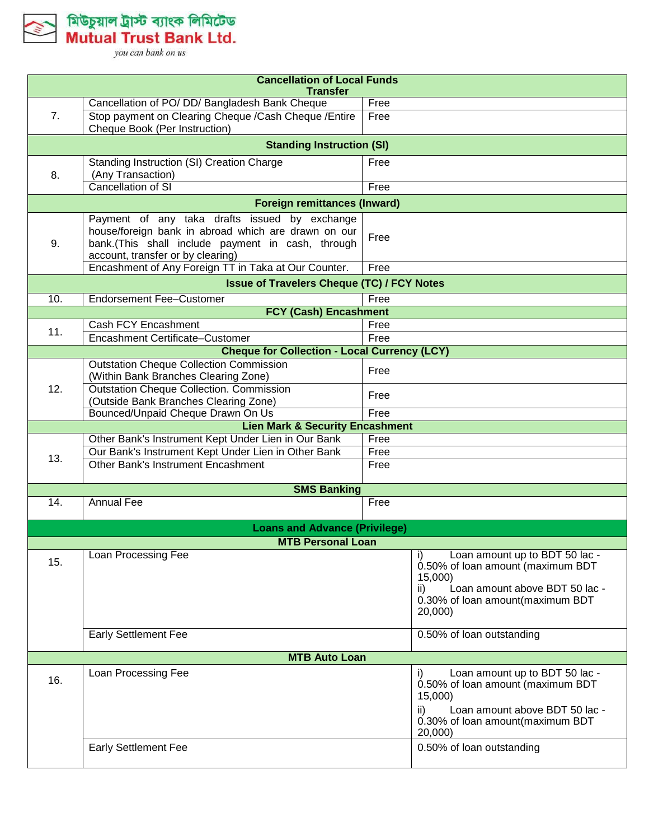

মিউচুয়াল ট্রাস্ট ব্যাংক লিমিটেড<br>Mutual Trust Bank Ltd.

| <b>Cancellation of Local Funds</b><br><b>Transfer</b> |                                                                                                                                                                                                |              |                                                                                                                                                                                        |  |  |
|-------------------------------------------------------|------------------------------------------------------------------------------------------------------------------------------------------------------------------------------------------------|--------------|----------------------------------------------------------------------------------------------------------------------------------------------------------------------------------------|--|--|
|                                                       | Cancellation of PO/ DD/ Bangladesh Bank Cheque                                                                                                                                                 | Free         |                                                                                                                                                                                        |  |  |
| 7.                                                    | Stop payment on Clearing Cheque /Cash Cheque /Entire<br>Cheque Book (Per Instruction)                                                                                                          | Free         |                                                                                                                                                                                        |  |  |
|                                                       | <b>Standing Instruction (SI)</b>                                                                                                                                                               |              |                                                                                                                                                                                        |  |  |
| 8.                                                    | Standing Instruction (SI) Creation Charge<br>(Any Transaction)                                                                                                                                 | Free         |                                                                                                                                                                                        |  |  |
|                                                       | Cancellation of SI                                                                                                                                                                             | Free         |                                                                                                                                                                                        |  |  |
| <b>Foreign remittances (Inward)</b>                   |                                                                                                                                                                                                |              |                                                                                                                                                                                        |  |  |
| 9.                                                    | Payment of any taka drafts issued by exchange<br>house/foreign bank in abroad which are drawn on our<br>bank.(This shall include payment in cash, through<br>account, transfer or by clearing) | Free         |                                                                                                                                                                                        |  |  |
|                                                       | Encashment of Any Foreign TT in Taka at Our Counter.                                                                                                                                           | Free         |                                                                                                                                                                                        |  |  |
| <b>Issue of Travelers Cheque (TC) / FCY Notes</b>     |                                                                                                                                                                                                |              |                                                                                                                                                                                        |  |  |
| 10.                                                   | <b>Endorsement Fee-Customer</b><br><b>FCY (Cash) Encashment</b>                                                                                                                                | Free         |                                                                                                                                                                                        |  |  |
|                                                       | <b>Cash FCY Encashment</b>                                                                                                                                                                     | Free         |                                                                                                                                                                                        |  |  |
| 11.                                                   | Encashment Certificate-Customer                                                                                                                                                                | Free         |                                                                                                                                                                                        |  |  |
|                                                       | <b>Cheque for Collection - Local Currency (LCY)</b>                                                                                                                                            |              |                                                                                                                                                                                        |  |  |
| 12.                                                   | <b>Outstation Cheque Collection Commission</b><br>(Within Bank Branches Clearing Zone)                                                                                                         | Free         |                                                                                                                                                                                        |  |  |
|                                                       | <b>Outstation Cheque Collection. Commission</b><br>(Outside Bank Branches Clearing Zone)                                                                                                       | Free         |                                                                                                                                                                                        |  |  |
|                                                       | Bounced/Unpaid Cheque Drawn On Us                                                                                                                                                              | Free         |                                                                                                                                                                                        |  |  |
|                                                       | <b>Lien Mark &amp; Security Encashment</b>                                                                                                                                                     |              |                                                                                                                                                                                        |  |  |
|                                                       | Other Bank's Instrument Kept Under Lien in Our Bank                                                                                                                                            | Free         |                                                                                                                                                                                        |  |  |
| 13.                                                   | Our Bank's Instrument Kept Under Lien in Other Bank<br>Other Bank's Instrument Encashment                                                                                                      | Free<br>Free |                                                                                                                                                                                        |  |  |
|                                                       | <b>SMS Banking</b>                                                                                                                                                                             |              |                                                                                                                                                                                        |  |  |
| 14.                                                   | <b>Annual Fee</b>                                                                                                                                                                              | Free         |                                                                                                                                                                                        |  |  |
|                                                       |                                                                                                                                                                                                |              |                                                                                                                                                                                        |  |  |
|                                                       | <b>Loans and Advance (Privilege)</b>                                                                                                                                                           |              |                                                                                                                                                                                        |  |  |
|                                                       | <b>MTB Personal Loan</b>                                                                                                                                                                       |              |                                                                                                                                                                                        |  |  |
| 15.                                                   | Loan Processing Fee                                                                                                                                                                            |              | Loan amount up to BDT 50 lac -<br>I)<br>0.50% of loan amount (maximum BDT<br>15,000)<br>$\mathsf{ii}$<br>Loan amount above BDT 50 lac -<br>0.30% of loan amount(maximum BDT<br>20,000) |  |  |
|                                                       | <b>Early Settlement Fee</b>                                                                                                                                                                    |              | 0.50% of loan outstanding                                                                                                                                                              |  |  |
|                                                       | <b>MTB Auto Loan</b>                                                                                                                                                                           |              |                                                                                                                                                                                        |  |  |
| 16.                                                   | Loan Processing Fee                                                                                                                                                                            |              | Loan amount up to BDT 50 lac -<br>I)<br>0.50% of loan amount (maximum BDT<br>15,000)<br>Loan amount above BDT 50 lac -<br>ii)<br>0.30% of loan amount(maximum BDT<br>20,000)           |  |  |
|                                                       | <b>Early Settlement Fee</b>                                                                                                                                                                    |              | 0.50% of loan outstanding                                                                                                                                                              |  |  |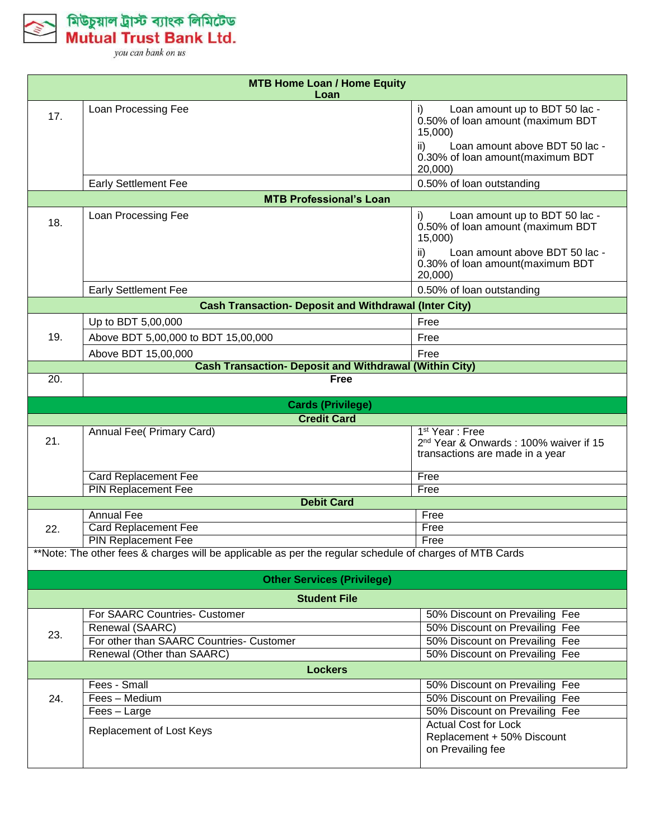

| <b>MTB Home Loan / Home Equity</b><br>Loan                   |                                                                                                         |                                                                                                                                                                              |  |  |
|--------------------------------------------------------------|---------------------------------------------------------------------------------------------------------|------------------------------------------------------------------------------------------------------------------------------------------------------------------------------|--|--|
| 17.                                                          | Loan Processing Fee                                                                                     | Loan amount up to BDT 50 lac -<br>i)<br>0.50% of loan amount (maximum BDT<br>15,000)<br>ii)<br>Loan amount above BDT 50 lac -<br>0.30% of loan amount(maximum BDT<br>20,000) |  |  |
|                                                              | <b>Early Settlement Fee</b>                                                                             | 0.50% of loan outstanding                                                                                                                                                    |  |  |
| <b>MTB Professional's Loan</b>                               |                                                                                                         |                                                                                                                                                                              |  |  |
| 18.                                                          | Loan Processing Fee                                                                                     | Loan amount up to BDT 50 lac -<br>0.50% of loan amount (maximum BDT<br>15,000)<br>ii)<br>Loan amount above BDT 50 lac -<br>0.30% of loan amount(maximum BDT<br>20,000)       |  |  |
|                                                              | <b>Early Settlement Fee</b>                                                                             | 0.50% of loan outstanding                                                                                                                                                    |  |  |
| <b>Cash Transaction- Deposit and Withdrawal (Inter City)</b> |                                                                                                         |                                                                                                                                                                              |  |  |
| 19.                                                          | Up to BDT 5,00,000<br>Above BDT 5,00,000 to BDT 15,00,000                                               | Free<br>Free                                                                                                                                                                 |  |  |
|                                                              | Above BDT 15,00,000<br><b>Cash Transaction- Deposit and Withdrawal (Within City)</b>                    | Free                                                                                                                                                                         |  |  |
| 20.                                                          | <b>Free</b>                                                                                             |                                                                                                                                                                              |  |  |
|                                                              |                                                                                                         |                                                                                                                                                                              |  |  |
|                                                              | <b>Cards (Privilege)</b>                                                                                |                                                                                                                                                                              |  |  |
|                                                              | <b>Credit Card</b>                                                                                      | 1 <sup>st</sup> Year: Free                                                                                                                                                   |  |  |
| 21.                                                          | <b>Annual Fee( Primary Card)</b>                                                                        | 2 <sup>nd</sup> Year & Onwards: 100% waiver if 15<br>transactions are made in a year                                                                                         |  |  |
|                                                              | <b>Card Replacement Fee</b>                                                                             | Free                                                                                                                                                                         |  |  |
|                                                              | <b>PIN Replacement Fee</b>                                                                              | Free                                                                                                                                                                         |  |  |
|                                                              | <b>Debit Card</b><br><b>Annual Fee</b>                                                                  |                                                                                                                                                                              |  |  |
| 22.                                                          | <b>Card Replacement Fee</b>                                                                             | Free<br>Free                                                                                                                                                                 |  |  |
|                                                              | <b>PIN Replacement Fee</b>                                                                              | Free                                                                                                                                                                         |  |  |
|                                                              | **Note: The other fees & charges will be applicable as per the regular schedule of charges of MTB Cards |                                                                                                                                                                              |  |  |
|                                                              | <b>Other Services (Privilege)</b>                                                                       |                                                                                                                                                                              |  |  |
|                                                              | <b>Student File</b>                                                                                     |                                                                                                                                                                              |  |  |
|                                                              | For SAARC Countries- Customer                                                                           | 50% Discount on Prevailing Fee                                                                                                                                               |  |  |
| 23.                                                          | Renewal (SAARC)                                                                                         | 50% Discount on Prevailing Fee                                                                                                                                               |  |  |
|                                                              | For other than SAARC Countries- Customer                                                                | 50% Discount on Prevailing Fee                                                                                                                                               |  |  |
|                                                              | Renewal (Other than SAARC)                                                                              | 50% Discount on Prevailing Fee                                                                                                                                               |  |  |
|                                                              | <b>Lockers</b>                                                                                          |                                                                                                                                                                              |  |  |
|                                                              | Fees - Small<br>Fees - Medium                                                                           | 50% Discount on Prevailing Fee<br>50% Discount on Prevailing Fee                                                                                                             |  |  |
| 24.                                                          | Fees - Large                                                                                            | 50% Discount on Prevailing Fee                                                                                                                                               |  |  |
|                                                              | Replacement of Lost Keys                                                                                | <b>Actual Cost for Lock</b><br>Replacement + 50% Discount<br>on Prevailing fee                                                                                               |  |  |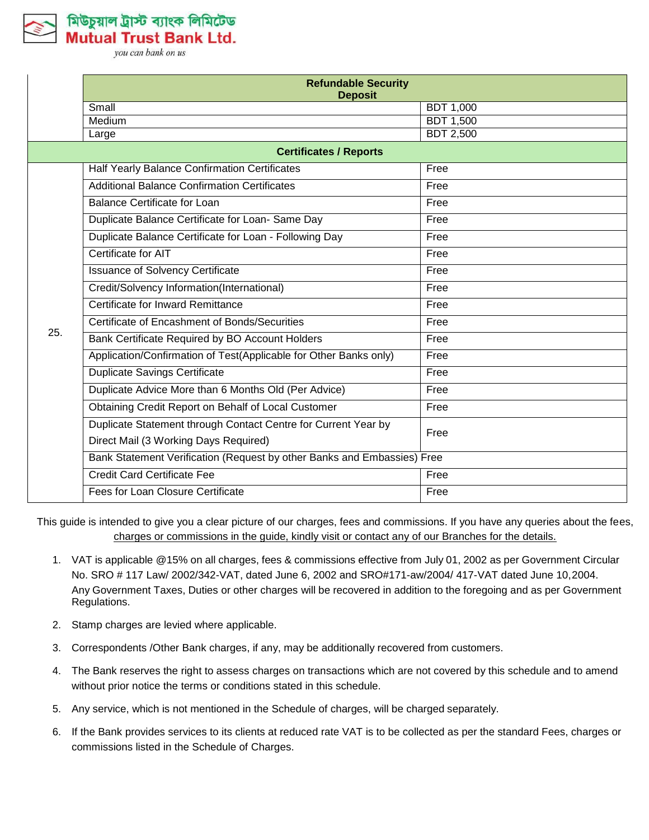

মিউচুয়াল ট্রাস্ট ব্যাংক লিমিটেড Mutual Trust Bank Ltd.

you can bank on us

|                               | <b>Refundable Security</b><br><b>Deposit</b>                            |                  |  |  |  |
|-------------------------------|-------------------------------------------------------------------------|------------------|--|--|--|
|                               | Small                                                                   | <b>BDT 1,000</b> |  |  |  |
|                               | Medium                                                                  | <b>BDT 1,500</b> |  |  |  |
|                               | Large                                                                   | <b>BDT 2,500</b> |  |  |  |
| <b>Certificates / Reports</b> |                                                                         |                  |  |  |  |
| 25.                           | Half Yearly Balance Confirmation Certificates                           | Free             |  |  |  |
|                               | <b>Additional Balance Confirmation Certificates</b>                     | Free             |  |  |  |
|                               | <b>Balance Certificate for Loan</b>                                     | Free             |  |  |  |
|                               | Duplicate Balance Certificate for Loan- Same Day                        | Free             |  |  |  |
|                               | Duplicate Balance Certificate for Loan - Following Day                  | Free             |  |  |  |
|                               | Certificate for AIT                                                     | Free             |  |  |  |
|                               | <b>Issuance of Solvency Certificate</b>                                 | Free             |  |  |  |
|                               | Credit/Solvency Information(International)                              | Free             |  |  |  |
|                               | Certificate for Inward Remittance                                       | Free             |  |  |  |
|                               | Certificate of Encashment of Bonds/Securities                           | Free             |  |  |  |
|                               | Bank Certificate Required by BO Account Holders                         | Free             |  |  |  |
|                               | Application/Confirmation of Test(Applicable for Other Banks only)       | Free             |  |  |  |
|                               | <b>Duplicate Savings Certificate</b>                                    | Free             |  |  |  |
|                               | Duplicate Advice More than 6 Months Old (Per Advice)                    | Free             |  |  |  |
|                               | Obtaining Credit Report on Behalf of Local Customer                     | Free             |  |  |  |
|                               | Duplicate Statement through Contact Centre for Current Year by          | Free             |  |  |  |
|                               | Direct Mail (3 Working Days Required)                                   |                  |  |  |  |
|                               | Bank Statement Verification (Request by other Banks and Embassies) Free |                  |  |  |  |
|                               | <b>Credit Card Certificate Fee</b>                                      | Free             |  |  |  |
|                               | Fees for Loan Closure Certificate                                       | Free             |  |  |  |

This guide is intended to give you a clear picture of our charges, fees and commissions. If you have any queries about the fees, charges or commissions in the guide, kindly visit or contact any of our Branches for the details.

- 1. VAT is applicable @15% on all charges, fees & commissions effective from July 01, 2002 as per Government Circular No. SRO # 117 Law/ 2002/342-VAT, dated June 6, 2002 and SRO#171-aw/2004/ 417-VAT dated June 10,2004. Any Government Taxes, Duties or other charges will be recovered in addition to the foregoing and as per Government Regulations.
- 2. Stamp charges are levied where applicable.
- 3. Correspondents /Other Bank charges, if any, may be additionally recovered from customers.
- 4. The Bank reserves the right to assess charges on transactions which are not covered by this schedule and to amend without prior notice the terms or conditions stated in this schedule.
- 5. Any service, which is not mentioned in the Schedule of charges, will be charged separately.
- 6. If the Bank provides services to its clients at reduced rate VAT is to be collected as per the standard Fees, charges or commissions listed in the Schedule of Charges.